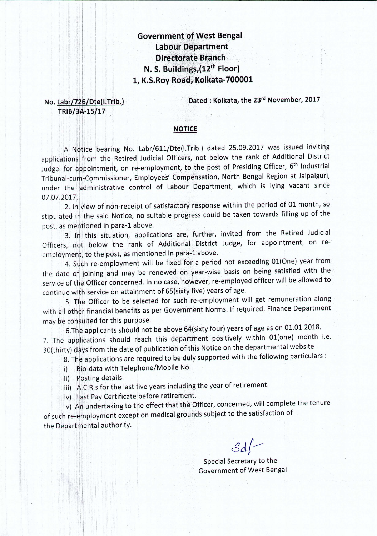## **Government of West Bengal Labour Department Directorate Branch** N. S. Buildings, (12th Floor) 1, K.S.Roy Road, Kolkata-700001

No. Labr/726/Dte(I.Trib.) TRIB/3A-15/17

Dated: Kolkata, the 23rd November, 2017

## **NOTICE**

A Notice bearing No. Labr/611/Dte(I.Trib.) dated 25.09.2017 was issued inviting applications from the Retired Judicial Officers, not below the rank of Additional District Judge, for appointment, on re-employment, to the post of Presiding Officer, 6<sup>th</sup> Industrial Tribunal-cum-Commissioner, Employees' Compensation, North Bengal Region at Jalpaiguri, under the administrative control of Labour Department, which is lying vacant since 07.07.2017.

2. In view of non-receipt of satisfactory response within the period of 01 month, so stipulated in the said Notice, no suitable progress could be taken towards filling up of the post, as mentioned in para-1 above.

3. In this situation, applications are, further, invited from the Retired Judicial Officers, not below the rank of Additional District Judge, for appointment, on reemployment, to the post, as mentioned in para-1 above.

4. Such re-employment will be fixed for a period not exceeding 01(One) year from the date of joining and may be renewed on year-wise basis on being satisfied with the service of the Officer concerned. In no case, however, re-employed officer will be allowed to continue with service on attainment of 65(sixty five) years of age.

5. The Officer to be selected for such re-employment will get remuneration along with all other financial benefits as per Government Norms. If required, Finance Department may be consulted for this purpose.

6. The applicants should not be above 64(sixty four) years of age as on 01.01.2018. 7. The applications should reach this department positively within 01(one) month i.e. 30(thirty) days from the date of publication of this Notice on the departmental website.

8. The applications are required to be duly supported with the following particulars:

i) Bio-data with Telephone/Mobile No.

ii) Posting details.

iii) A.C.R.s for the last five years including the year of retirement.

iv) Last Pay Certificate before retirement.

v) An undertaking to the effect that the Officer, concerned, will complete the tenure of such re-employment except on medical grounds subject to the satisfaction of the Departmental authority.

 $\mathcal{S}d$ 

Special Secretary to the **Government of West Bengal**